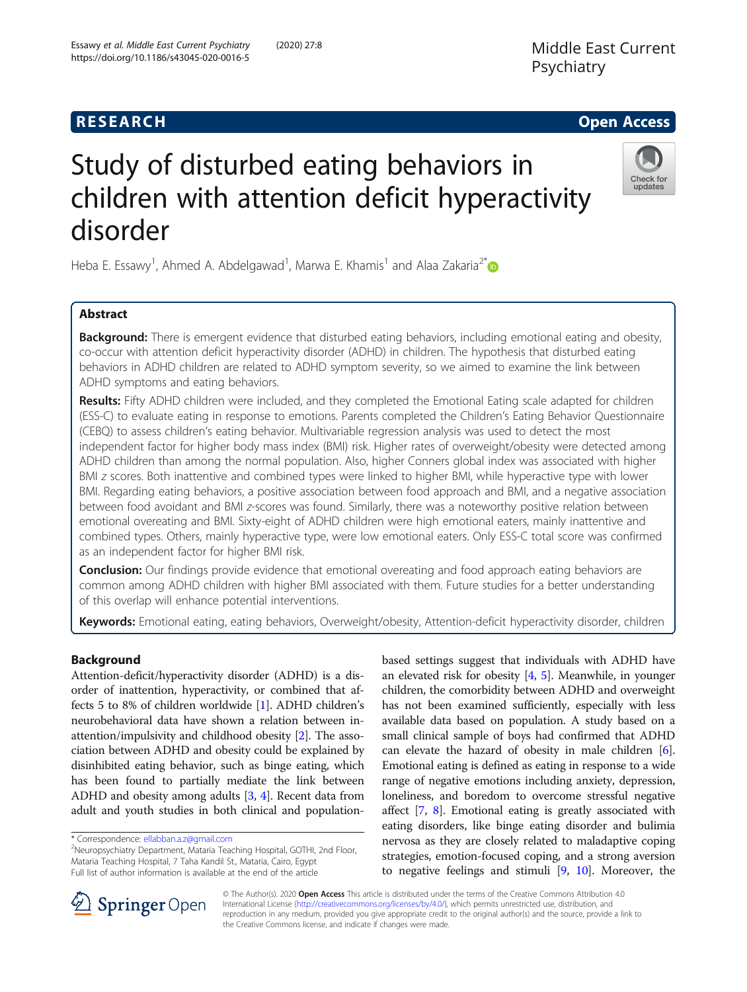## **RESEARCH CHE Open Access**

# Study of disturbed eating behaviors in children with attention deficit hyperactivity disorder

Heba E. Essawy<sup>1</sup>, Ahmed A. Abdelgawad<sup>1</sup>, Marwa E. Khamis<sup>1</sup> and Alaa Zakaria<sup>2\*</sup>

## Abstract

**Background:** There is emergent evidence that disturbed eating behaviors, including emotional eating and obesity, co-occur with attention deficit hyperactivity disorder (ADHD) in children. The hypothesis that disturbed eating behaviors in ADHD children are related to ADHD symptom severity, so we aimed to examine the link between ADHD symptoms and eating behaviors.

Results: Fifty ADHD children were included, and they completed the Emotional Eating scale adapted for children (ESS-C) to evaluate eating in response to emotions. Parents completed the Children's Eating Behavior Questionnaire (CEBQ) to assess children's eating behavior. Multivariable regression analysis was used to detect the most independent factor for higher body mass index (BMI) risk. Higher rates of overweight/obesity were detected among ADHD children than among the normal population. Also, higher Conners global index was associated with higher BMI z scores. Both inattentive and combined types were linked to higher BMI, while hyperactive type with lower BMI. Regarding eating behaviors, a positive association between food approach and BMI, and a negative association between food avoidant and BMI z-scores was found. Similarly, there was a noteworthy positive relation between emotional overeating and BMI. Sixty-eight of ADHD children were high emotional eaters, mainly inattentive and combined types. Others, mainly hyperactive type, were low emotional eaters. Only ESS-C total score was confirmed as an independent factor for higher BMI risk.

**Conclusion:** Our findings provide evidence that emotional overeating and food approach eating behaviors are common among ADHD children with higher BMI associated with them. Future studies for a better understanding of this overlap will enhance potential interventions.

Keywords: Emotional eating, eating behaviors, Overweight/obesity, Attention-deficit hyperactivity disorder, children

## Background

Attention-deficit/hyperactivity disorder (ADHD) is a disorder of inattention, hyperactivity, or combined that affects 5 to 8% of children worldwide [\[1](#page-11-0)]. ADHD children's neurobehavioral data have shown a relation between inattention/impulsivity and childhood obesity [\[2\]](#page-11-0). The association between ADHD and obesity could be explained by disinhibited eating behavior, such as binge eating, which has been found to partially mediate the link between ADHD and obesity among adults [[3,](#page-11-0) [4](#page-11-0)]. Recent data from adult and youth studies in both clinical and population-

<sup>2</sup>Neuropsychiatry Department, Mataria Teaching Hospital, GOTHI, 2nd Floor, Mataria Teaching Hospital, 7 Taha Kandil St., Mataria, Cairo, Egypt Full list of author information is available at the end of the article

© The Author(s). 2020 Open Access This article is distributed under the terms of the Creative Commons Attribution 4.0 International License ([http://creativecommons.org/licenses/by/4.0/\)](http://creativecommons.org/licenses/by/4.0/), which permits unrestricted use, distribution, and reproduction in any medium, provided you give appropriate credit to the original author(s) and the source, provide a link to the Creative Commons license, and indicate if changes were made.

based settings suggest that individuals with ADHD have an elevated risk for obesity  $[4, 5]$  $[4, 5]$  $[4, 5]$  $[4, 5]$ . Meanwhile, in younger children, the comorbidity between ADHD and overweight has not been examined sufficiently, especially with less available data based on population. A study based on a small clinical sample of boys had confirmed that ADHD can elevate the hazard of obesity in male children [[6](#page-11-0)]. Emotional eating is defined as eating in response to a wide range of negative emotions including anxiety, depression, loneliness, and boredom to overcome stressful negative affect [[7,](#page-11-0) [8](#page-11-0)]. Emotional eating is greatly associated with eating disorders, like binge eating disorder and bulimia nervosa as they are closely related to maladaptive coping strategies, emotion-focused coping, and a strong aversion to negative feelings and stimuli [\[9](#page-11-0), [10\]](#page-11-0). Moreover, the





updates

<sup>\*</sup> Correspondence: [ellabban.a.z@gmail.com](mailto:ellabban.a.z@gmail.com) <sup>2</sup>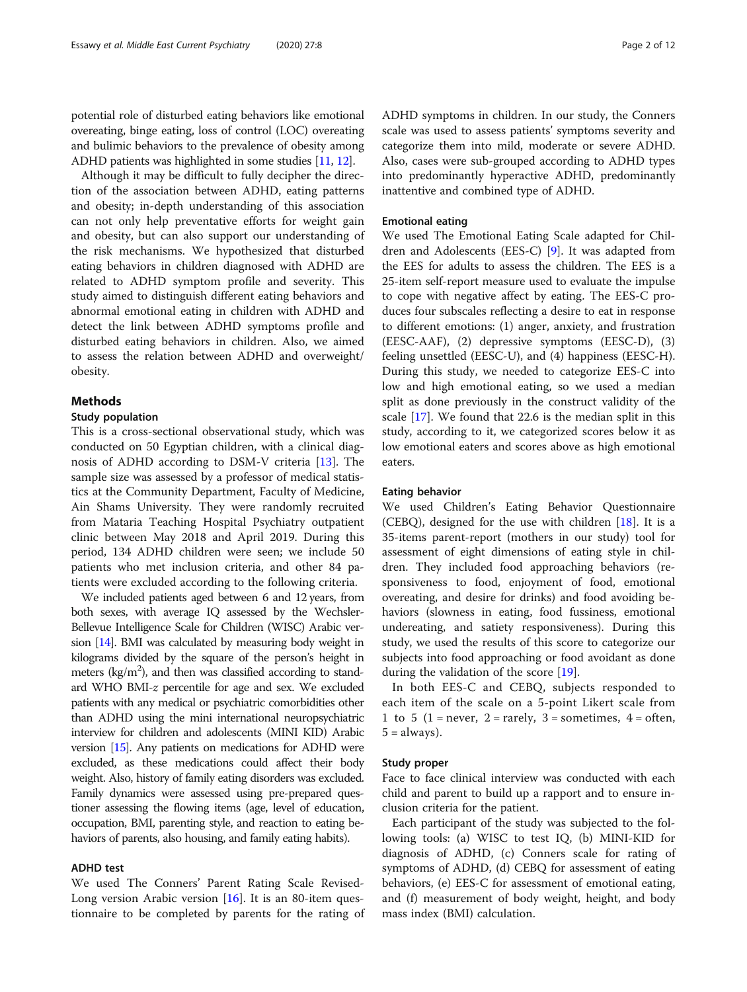potential role of disturbed eating behaviors like emotional overeating, binge eating, loss of control (LOC) overeating and bulimic behaviors to the prevalence of obesity among ADHD patients was highlighted in some studies [\[11,](#page-11-0) [12](#page-11-0)].

Although it may be difficult to fully decipher the direction of the association between ADHD, eating patterns and obesity; in-depth understanding of this association can not only help preventative efforts for weight gain and obesity, but can also support our understanding of the risk mechanisms. We hypothesized that disturbed eating behaviors in children diagnosed with ADHD are related to ADHD symptom profile and severity. This study aimed to distinguish different eating behaviors and abnormal emotional eating in children with ADHD and detect the link between ADHD symptoms profile and disturbed eating behaviors in children. Also, we aimed to assess the relation between ADHD and overweight/ obesity.

#### Methods

#### Study population

This is a cross-sectional observational study, which was conducted on 50 Egyptian children, with a clinical diagnosis of ADHD according to DSM-V criteria [[13\]](#page-11-0). The sample size was assessed by a professor of medical statistics at the Community Department, Faculty of Medicine, Ain Shams University. They were randomly recruited from Mataria Teaching Hospital Psychiatry outpatient clinic between May 2018 and April 2019. During this period, 134 ADHD children were seen; we include 50 patients who met inclusion criteria, and other 84 patients were excluded according to the following criteria.

We included patients aged between 6 and 12 years, from both sexes, with average IQ assessed by the Wechsler-Bellevue Intelligence Scale for Children (WISC) Arabic version [\[14](#page-11-0)]. BMI was calculated by measuring body weight in kilograms divided by the square of the person's height in meters ( $\text{kg/m}^2$ ), and then was classified according to standard WHO BMI-z percentile for age and sex. We excluded patients with any medical or psychiatric comorbidities other than ADHD using the mini international neuropsychiatric interview for children and adolescents (MINI KID) Arabic version [\[15](#page-11-0)]. Any patients on medications for ADHD were excluded, as these medications could affect their body weight. Also, history of family eating disorders was excluded. Family dynamics were assessed using pre-prepared questioner assessing the flowing items (age, level of education, occupation, BMI, parenting style, and reaction to eating behaviors of parents, also housing, and family eating habits).

## ADHD test

We used The Conners' Parent Rating Scale Revised-Long version Arabic version [[16\]](#page-11-0). It is an 80-item questionnaire to be completed by parents for the rating of ADHD symptoms in children. In our study, the Conners scale was used to assess patients' symptoms severity and categorize them into mild, moderate or severe ADHD. Also, cases were sub-grouped according to ADHD types into predominantly hyperactive ADHD, predominantly inattentive and combined type of ADHD.

#### Emotional eating

We used The Emotional Eating Scale adapted for Children and Adolescents (EES-C) [\[9](#page-11-0)]. It was adapted from the EES for adults to assess the children. The EES is a 25-item self-report measure used to evaluate the impulse to cope with negative affect by eating. The EES-C produces four subscales reflecting a desire to eat in response to different emotions: (1) anger, anxiety, and frustration (EESC-AAF), (2) depressive symptoms (EESC-D), (3) feeling unsettled (EESC-U), and (4) happiness (EESC-H). During this study, we needed to categorize EES-C into low and high emotional eating, so we used a median split as done previously in the construct validity of the scale [[17](#page-11-0)]. We found that 22.6 is the median split in this study, according to it, we categorized scores below it as low emotional eaters and scores above as high emotional eaters.

#### Eating behavior

We used Children's Eating Behavior Questionnaire (CEBO), designed for the use with children  $[18]$  $[18]$  $[18]$ . It is a 35-items parent-report (mothers in our study) tool for assessment of eight dimensions of eating style in children. They included food approaching behaviors (responsiveness to food, enjoyment of food, emotional overeating, and desire for drinks) and food avoiding behaviors (slowness in eating, food fussiness, emotional undereating, and satiety responsiveness). During this study, we used the results of this score to categorize our subjects into food approaching or food avoidant as done during the validation of the score [\[19](#page-11-0)].

In both EES-C and CEBQ, subjects responded to each item of the scale on a 5-point Likert scale from 1 to 5 (1 = never, 2 = rarely, 3 = sometimes,  $4 =$  often,  $5 =$  always).

#### Study proper

Face to face clinical interview was conducted with each child and parent to build up a rapport and to ensure inclusion criteria for the patient.

Each participant of the study was subjected to the following tools: (a) WISC to test IQ, (b) MINI-KID for diagnosis of ADHD, (c) Conners scale for rating of symptoms of ADHD, (d) CEBQ for assessment of eating behaviors, (e) EES-C for assessment of emotional eating, and (f) measurement of body weight, height, and body mass index (BMI) calculation.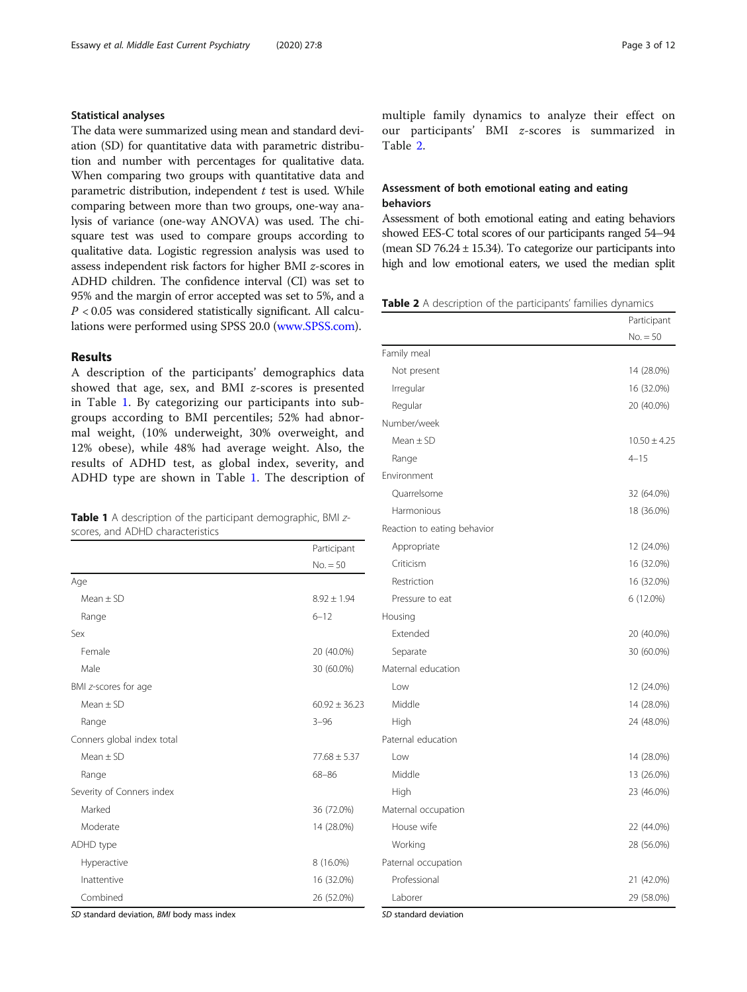## Statistical analyses

The data were summarized using mean and standard deviation (SD) for quantitative data with parametric distribution and number with percentages for qualitative data. When comparing two groups with quantitative data and parametric distribution, independent  $t$  test is used. While comparing between more than two groups, one-way analysis of variance (one-way ANOVA) was used. The chisquare test was used to compare groups according to qualitative data. Logistic regression analysis was used to assess independent risk factors for higher BMI z-scores in ADHD children. The confidence interval (CI) was set to 95% and the margin of error accepted was set to 5%, and a  $P < 0.05$  was considered statistically significant. All calculations were performed using SPSS 20.0 [\(www.SPSS.com\)](http://www.spss.com).

## Results

A description of the participants' demographics data showed that age, sex, and BMI z-scores is presented in Table 1. By categorizing our participants into subgroups according to BMI percentiles; 52% had abnormal weight, (10% underweight, 30% overweight, and 12% obese), while 48% had average weight. Also, the results of ADHD test, as global index, severity, and ADHD type are shown in Table 1. The description of

|  |                                  |  | <b>Table 1</b> A description of the participant demographic, BMI z- |  |
|--|----------------------------------|--|---------------------------------------------------------------------|--|
|  | scores, and ADHD characteristics |  |                                                                     |  |

|                            | Participant       |
|----------------------------|-------------------|
|                            | $No. = 50$        |
| Age                        |                   |
| $Mean + SD$                | $8.92 \pm 1.94$   |
| Range                      | $6 - 12$          |
| Sex                        |                   |
| Female                     | 20 (40.0%)        |
| Male                       | 30 (60.0%)        |
| BMI z-scores for age       |                   |
| $Mean + SD$                | $60.92 \pm 36.23$ |
| Range                      | $3 - 96$          |
| Conners global index total |                   |
| $Mean + SD$                | $77.68 \pm 5.37$  |
| Range                      | $68 - 86$         |
| Severity of Conners index  |                   |
| Marked                     | 36 (72.0%)        |
| Moderate                   | 14 (28.0%)        |
| ADHD type                  |                   |
| Hyperactive                | 8 (16.0%)         |
| Inattentive                | 16 (32.0%)        |
| Combined                   | 26 (52.0%)        |

SD standard deviation, BMI body mass index

multiple family dynamics to analyze their effect on our participants' BMI z-scores is summarized in Table 2.

## Assessment of both emotional eating and eating behaviors

Assessment of both emotional eating and eating behaviors showed EES-C total scores of our participants ranged 54–94 (mean SD 76.24 ± 15.34). To categorize our participants into high and low emotional eaters, we used the median split

Table 2 A description of the participants' families dynamics

|                             | Participant      |
|-----------------------------|------------------|
|                             | $No. = 50$       |
| Family meal                 |                  |
| Not present                 | 14 (28.0%)       |
| Irregular                   | 16 (32.0%)       |
| Regular                     | 20 (40.0%)       |
| Number/week                 |                  |
| $Mean \pm SD$               | $10.50 \pm 4.25$ |
| Range                       | $4 - 15$         |
| Environment                 |                  |
| Quarrelsome                 | 32 (64.0%)       |
| Harmonious                  | 18 (36.0%)       |
| Reaction to eating behavior |                  |
| Appropriate                 | 12 (24.0%)       |
| Criticism                   | 16 (32.0%)       |
| Restriction                 | 16 (32.0%)       |
| Pressure to eat             | 6 (12.0%)        |
| Housing                     |                  |
| Extended                    | 20 (40.0%)       |
| Separate                    | 30 (60.0%)       |
| Maternal education          |                  |
| Low                         | 12 (24.0%)       |
| Middle                      | 14 (28.0%)       |
| High                        | 24 (48.0%)       |
| Paternal education          |                  |
| Low                         | 14 (28.0%)       |
| Middle                      | 13 (26.0%)       |
| High                        | 23 (46.0%)       |
| Maternal occupation         |                  |
| House wife                  | 22 (44.0%)       |
| Working                     | 28 (56.0%)       |
| Paternal occupation         |                  |
| Professional                | 21 (42.0%)       |
| Laborer                     | 29 (58.0%)       |

SD standard deviation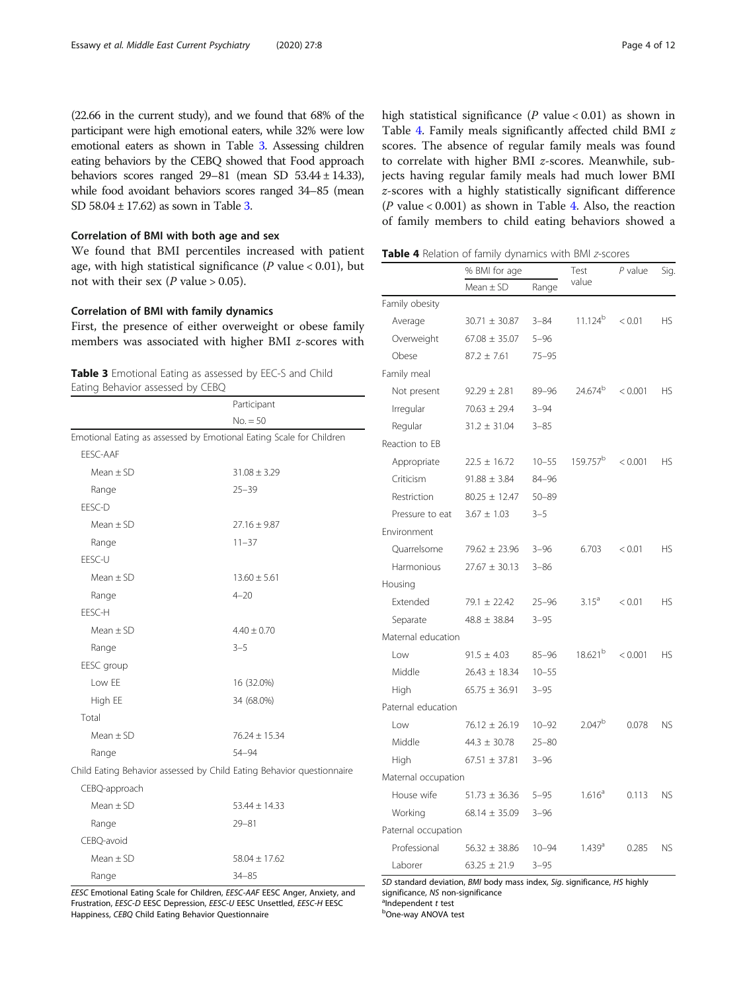<span id="page-3-0"></span>

## Correlation of BMI with both age and sex

We found that BMI percentiles increased with patient age, with high statistical significance ( $P$  value < 0.01), but not with their sex ( $P$  value > 0.05).

## Correlation of BMI with family dynamics

First, the presence of either overweight or obese family members was associated with higher BMI z-scores with

|  | <b>Table 3</b> Emotional Eating as assessed by EEC-S and Child |  |  |  |
|--|----------------------------------------------------------------|--|--|--|
|  | Eating Behavior assessed by CEBQ                               |  |  |  |

|                                                                       | Participant       |
|-----------------------------------------------------------------------|-------------------|
|                                                                       | $No. = 50$        |
| Emotional Eating as assessed by Emotional Eating Scale for Children   |                   |
| EESC-AAF                                                              |                   |
| Mean $\pm$ SD                                                         | $31.08 \pm 3.29$  |
| Range                                                                 | $25 - 39$         |
| EESC-D                                                                |                   |
| Mean $\pm$ SD                                                         | $27.16 \pm 9.87$  |
| Range                                                                 | $11 - 37$         |
| EESC-U                                                                |                   |
| $Mean + SD$                                                           | $13.60 \pm 5.61$  |
| Range                                                                 | $4 - 20$          |
| EESC-H                                                                |                   |
| Mean $\pm$ SD                                                         | $4.40 \pm 0.70$   |
| Range                                                                 | $3 - 5$           |
| EESC group                                                            |                   |
| Low EE                                                                | 16 (32.0%)        |
| High EE                                                               | 34 (68.0%)        |
| Total                                                                 |                   |
| $Mean + SD$                                                           | $76.24 \pm 15.34$ |
| Range                                                                 | 54-94             |
| Child Eating Behavior assessed by Child Eating Behavior questionnaire |                   |
| CEBQ-approach                                                         |                   |
| $Mean + SD$                                                           | $53.44 \pm 14.33$ |
| Range                                                                 | $79 - 81$         |
| CEBQ-avoid                                                            |                   |
| Mean $\pm$ SD                                                         | $58.04 \pm 17.62$ |
| Range                                                                 | $34 - 85$         |

EESC Emotional Eating Scale for Children, EESC-AAF EESC Anger, Anxiety, and Frustration, EESC-D EESC Depression, EESC-U EESC Unsettled, EESC-H EESC Happiness, CEBQ Child Eating Behavior Questionnaire

high statistical significance ( $P$  value < 0.01) as shown in Table 4. Family meals significantly affected child BMI z scores. The absence of regular family meals was found to correlate with higher BMI z-scores. Meanwhile, subjects having regular family meals had much lower BMI z-scores with a highly statistically significant difference ( $P$  value < 0.001) as shown in Table 4. Also, the reaction of family members to child eating behaviors showed a

Table 4 Relation of family dynamics with BMI z-scores

|                     | % BMI for age     |           |                      | $P$ value | Sig.      |
|---------------------|-------------------|-----------|----------------------|-----------|-----------|
|                     | $Mean \pm SD$     | Range     | value                |           |           |
| Family obesity      |                   |           |                      |           |           |
| Average             | $30.71 \pm 30.87$ | $3 - 84$  | 11.124 <sup>b</sup>  | < 0.01    | <b>HS</b> |
| Overweight          | $67.08 \pm 35.07$ | $5 - 96$  |                      |           |           |
| Obese               | $87.2 \pm 7.61$   | $75 - 95$ |                      |           |           |
| Family meal         |                   |           |                      |           |           |
| Not present         | $92.29 \pm 2.81$  | 89-96     | 24.674 <sup>b</sup>  | < 0.001   | <b>HS</b> |
| Irregular           | $70.63 \pm 29.4$  | $3 - 94$  |                      |           |           |
| Regular             | $31.2 \pm 31.04$  | $3 - 85$  |                      |           |           |
| Reaction to EB      |                   |           |                      |           |           |
| Appropriate         | $22.5 \pm 16.72$  | $10 - 55$ | 159.757 <sup>b</sup> | < 0.001   | <b>HS</b> |
| Criticism           | $91.88 \pm 3.84$  | 84-96     |                      |           |           |
| Restriction         | $80.25 \pm 12.47$ | $50 - 89$ |                      |           |           |
| Pressure to eat     | $3.67 \pm 1.03$   | $3 - 5$   |                      |           |           |
| Environment         |                   |           |                      |           |           |
| Ouarrelsome         | $79.62 \pm 23.96$ | $3 - 96$  | 6.703                | < 0.01    | <b>HS</b> |
| Harmonious          | $27.67 \pm 30.13$ | $3 - 86$  |                      |           |           |
| Housing             |                   |           |                      |           |           |
| Extended            | $79.1 \pm 22.42$  | $25 - 96$ | $3.15^a$             | < 0.01    | <b>HS</b> |
| Separate            | $48.8 \pm 38.84$  | $3 - 95$  |                      |           |           |
| Maternal education  |                   |           |                      |           |           |
| Low                 | $91.5 \pm 4.03$   | $85 - 96$ | 18.621 <sup>b</sup>  | < 0.001   | <b>HS</b> |
| Middle              | $26.43 \pm 18.34$ | $10 - 55$ |                      |           |           |
| High                | $65.75 \pm 36.91$ | $3 - 95$  |                      |           |           |
| Paternal education  |                   |           |                      |           |           |
| Low                 | $76.12 \pm 26.19$ | $10 - 92$ | $2.047^{b}$          | 0.078     | <b>NS</b> |
| Middle              | $44.3 \pm 30.78$  | $25 - 80$ |                      |           |           |
| High                | $67.51 \pm 37.81$ | $3 - 96$  |                      |           |           |
| Maternal occupation |                   |           |                      |           |           |
| House wife          | $51.73 \pm 36.36$ | $5 - 95$  | 1.616 <sup>a</sup>   | 0.113     | <b>NS</b> |
| Working             | $68.14 \pm 35.09$ | $3 - 96$  |                      |           |           |
| Paternal occupation |                   |           |                      |           |           |
| Professional        | $56.32 \pm 38.86$ | $10 - 94$ | 1.439 <sup>a</sup>   | 0.285     | <b>NS</b> |
| Laborer             | $63.25 \pm 21.9$  | $3 - 95$  |                      |           |           |

SD standard deviation, BMI body mass index, Sig. significance, HS highly significance, NS non-significance  $^{\circ}$ Independent t test

One-way ANOVA test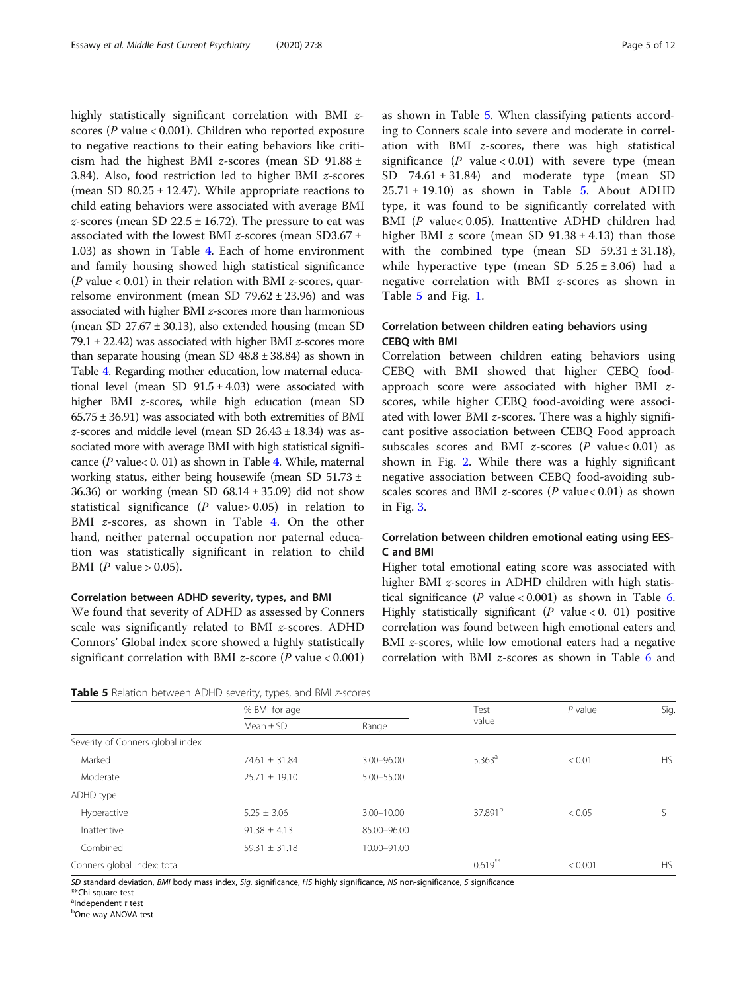highly statistically significant correlation with BMI zscores ( $P$  value < 0.001). Children who reported exposure to negative reactions to their eating behaviors like criticism had the highest BMI *z*-scores (mean SD 91.88  $\pm$ 3.84). Also, food restriction led to higher BMI z-scores (mean SD  $80.25 \pm 12.47$ ). While appropriate reactions to child eating behaviors were associated with average BMI z-scores (mean SD 22.5  $\pm$  16.72). The pressure to eat was associated with the lowest BMI z-scores (mean SD3.67  $\pm$ 1.03) as shown in Table [4.](#page-3-0) Each of home environment and family housing showed high statistical significance ( $P$  value < 0.01) in their relation with BMI  $z$ -scores, quarrelsome environment (mean SD  $79.62 \pm 23.96$ ) and was associated with higher BMI z-scores more than harmonious (mean SD 27.67 ± 30.13), also extended housing (mean SD 79.1  $\pm$  22.42) was associated with higher BMI *z*-scores more than separate housing (mean SD  $48.8 \pm 38.84$ ) as shown in Table [4.](#page-3-0) Regarding mother education, low maternal educational level (mean SD  $91.5 \pm 4.03$ ) were associated with higher BMI z-scores, while high education (mean SD  $65.75 \pm 36.91$ ) was associated with both extremities of BMI z-scores and middle level (mean SD  $26.43 \pm 18.34$ ) was associated more with average BMI with high statistical significance ( $P$  value $< 0.01$ ) as shown in Table [4.](#page-3-0) While, maternal working status, either being housewife (mean SD 51.73 ± 36.36) or working (mean SD  $68.14 \pm 35.09$ ) did not show statistical significance ( $P$  value > 0.05) in relation to BMI *z*-scores, as shown in Table [4.](#page-3-0) On the other hand, neither paternal occupation nor paternal education was statistically significant in relation to child BMI ( $P$  value  $> 0.05$ ).

## Correlation between ADHD severity, types, and BMI

We found that severity of ADHD as assessed by Conners scale was significantly related to BMI z-scores. ADHD Connors' Global index score showed a highly statistically significant correlation with BMI z-score ( $P$  value < 0.001)

| Table 5 Relation between ADHD severity, types, and BMI z-scores |  |
|-----------------------------------------------------------------|--|
|-----------------------------------------------------------------|--|

as shown in Table 5. When classifying patients according to Conners scale into severe and moderate in correlation with BMI z-scores, there was high statistical significance  $(P \text{ value} < 0.01)$  with severe type (mean SD  $74.61 \pm 31.84$ ) and moderate type (mean SD  $25.71 \pm 19.10$ ) as shown in Table 5. About ADHD type, it was found to be significantly correlated with BMI (P value< 0.05). Inattentive ADHD children had higher BMI *z* score (mean SD  $91.38 \pm 4.13$ ) than those with the combined type (mean SD  $59.31 \pm 31.18$ ), while hyperactive type (mean SD  $5.25 \pm 3.06$ ) had a negative correlation with BMI z-scores as shown in Table 5 and Fig. [1](#page-5-0).

## Correlation between children eating behaviors using CEBQ with BMI

Correlation between children eating behaviors using CEBQ with BMI showed that higher CEBQ foodapproach score were associated with higher BMI zscores, while higher CEBQ food-avoiding were associated with lower BMI z-scores. There was a highly significant positive association between CEBQ Food approach subscales scores and BMI z-scores  $(P \text{ value} < 0.01)$  as shown in Fig. [2.](#page-5-0) While there was a highly significant negative association between CEBQ food-avoiding subscales scores and BMI  $z$ -scores (P value< 0.01) as shown in Fig. [3](#page-6-0).

## Correlation between children emotional eating using EES-C and BMI

Higher total emotional eating score was associated with higher BMI z-scores in ADHD children with high statistical significance (P value <  $0.001$ ) as shown in Table [6](#page-6-0). Highly statistically significant ( $P$  value < 0. 01) positive correlation was found between high emotional eaters and BMI *z*-scores, while low emotional eaters had a negative correlation with BMI z-scores as shown in Table [6](#page-6-0) and

|                                  | ,, , ,<br>% BMI for age |                |                     | $P$ value | Sig.      |
|----------------------------------|-------------------------|----------------|---------------------|-----------|-----------|
|                                  | Mean $\pm$ SD           | Range          | Test<br>value       |           |           |
| Severity of Conners global index |                         |                |                     |           |           |
| Marked                           | $74.61 \pm 31.84$       | 3.00-96.00     | $5.363^{\circ}$     | < 0.01    | <b>HS</b> |
| Moderate                         | $25.71 \pm 19.10$       | 5.00-55.00     |                     |           |           |
| ADHD type                        |                         |                |                     |           |           |
| Hyperactive                      | $5.25 \pm 3.06$         | $3.00 - 10.00$ | 37.891 <sup>b</sup> | < 0.05    |           |
| Inattentive                      | $91.38 \pm 4.13$        | 85.00-96.00    |                     |           |           |
| Combined                         | $59.31 \pm 31.18$       | 10.00-91.00    |                     |           |           |
| Conners global index: total      |                         |                | $0.619**$           | < 0.001   | <b>HS</b> |

SD standard deviation, BMI body mass index, Sig. significance, HS highly significance, NS non-significance, S significance

\*\*Chi-square test

 $\sigma^2$ Independent t test

bOne-way ANOVA test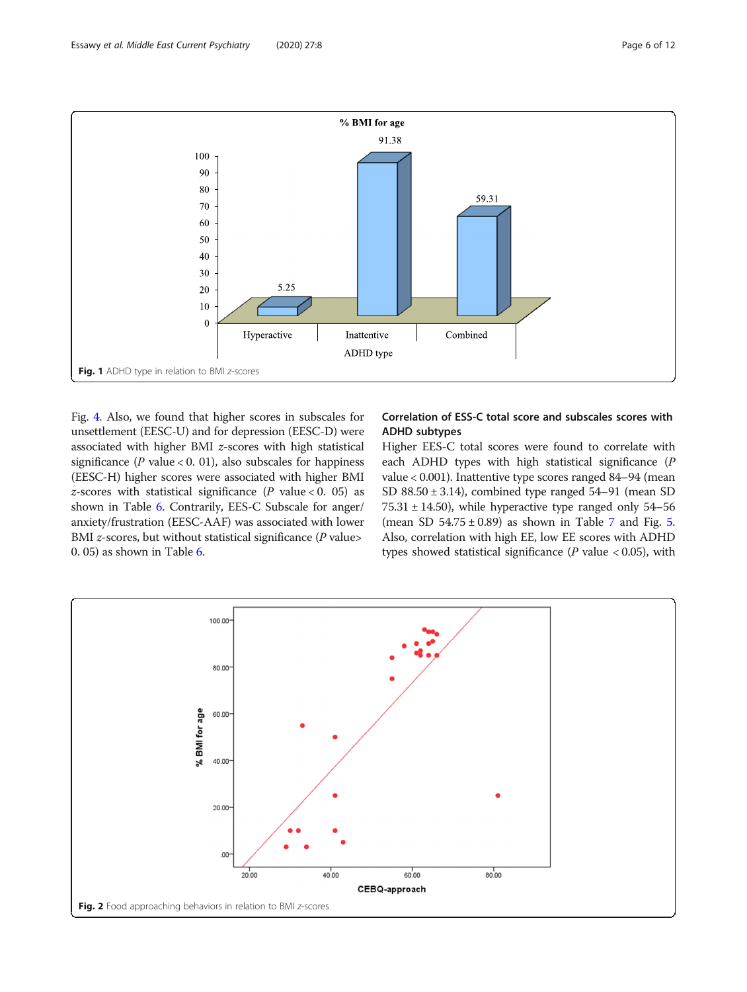<span id="page-5-0"></span>

Fig. [4](#page-7-0). Also, we found that higher scores in subscales for unsettlement (EESC-U) and for depression (EESC-D) were associated with higher BMI z-scores with high statistical significance ( $P$  value < 0. 01), also subscales for happiness (EESC-H) higher scores were associated with higher BMI z-scores with statistical significance ( $P$  value < 0. 05) as shown in Table [6](#page-6-0). Contrarily, EES-C Subscale for anger/ anxiety/frustration (EESC-AAF) was associated with lower BMI  $z$ -scores, but without statistical significance ( $P$  value> 0. 05) as shown in Table [6](#page-6-0).

## Correlation of ESS-C total score and subscales scores with ADHD subtypes

Higher EES-C total scores were found to correlate with each ADHD types with high statistical significance (P value < 0.001). Inattentive type scores ranged 84–94 (mean SD  $88.50 \pm 3.14$ ), combined type ranged  $54-91$  (mean SD  $75.31 \pm 14.50$ , while hyperactive type ranged only  $54-56$ (mean SD  $54.75 \pm 0.89$  $54.75 \pm 0.89$  $54.75 \pm 0.89$  $54.75 \pm 0.89$ ) as shown in Table 7 and Fig. 5. Also, correlation with high EE, low EE scores with ADHD types showed statistical significance ( $P$  value < 0.05), with

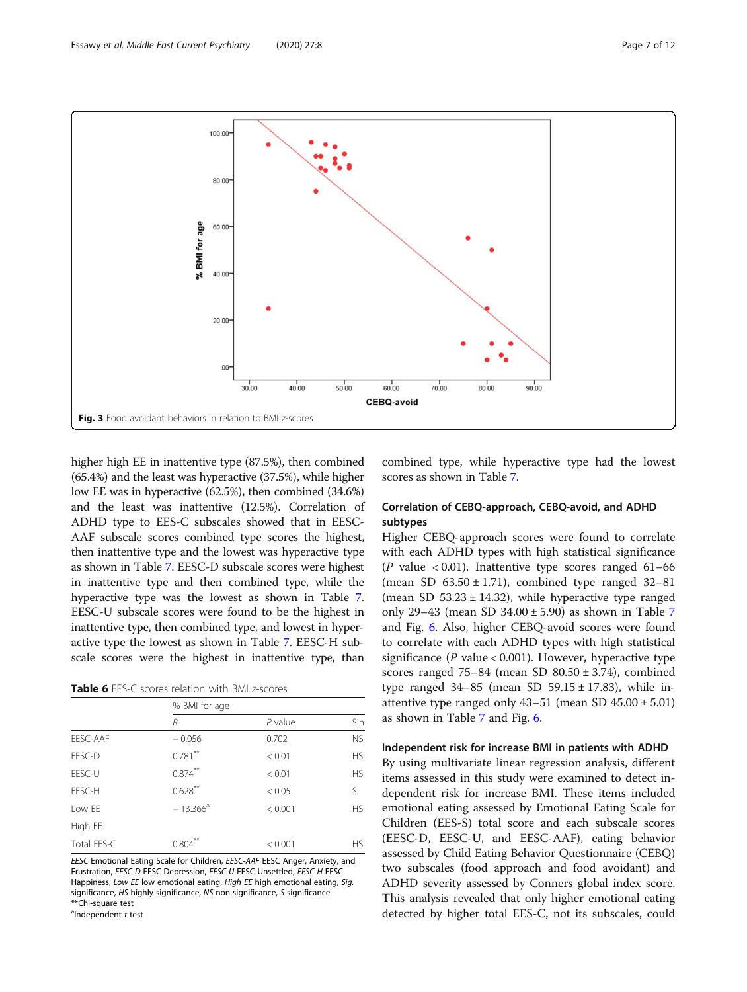<span id="page-6-0"></span>

higher high EE in inattentive type (87.5%), then combined (65.4%) and the least was hyperactive (37.5%), while higher low EE was in hyperactive (62.5%), then combined (34.6%) and the least was inattentive (12.5%). Correlation of ADHD type to EES-C subscales showed that in EESC-AAF subscale scores combined type scores the highest, then inattentive type and the lowest was hyperactive type as shown in Table [7.](#page-8-0) EESC-D subscale scores were highest in inattentive type and then combined type, while the hyperactive type was the lowest as shown in Table [7](#page-8-0). EESC-U subscale scores were found to be the highest in inattentive type, then combined type, and lowest in hyperactive type the lowest as shown in Table [7.](#page-8-0) EESC-H subscale scores were the highest in inattentive type, than

Table 6 EES-C scores relation with BMI z-scores

|             | % BMI for age |           |           |  |  |
|-------------|---------------|-----------|-----------|--|--|
|             | R             | $P$ value | Sin       |  |  |
| EESC-AAF    | $-0.056$      | 0.702     | <b>NS</b> |  |  |
| EESC-D      | $0.781$ **    | < 0.01    | <b>HS</b> |  |  |
| EESC-U      | $0.874***$    | < 0.01    | <b>HS</b> |  |  |
| EESC-H      | $0.628$ **    | < 0.05    | S         |  |  |
| Low EE      | $-13.366^a$   | < 0.001   | <b>HS</b> |  |  |
| High EE     |               |           |           |  |  |
| Total EES-C | 0.804         | < 0.001   | HS.       |  |  |

EESC Emotional Eating Scale for Children, EESC-AAF EESC Anger, Anxiety, and Frustration, EESC-D EESC Depression, EESC-U EESC Unsettled, EESC-H EESC Happiness, Low EE low emotional eating, High EE high emotional eating, Sig. significance, HS highly significance, NS non-significance, S significance \*\*Chi-square test

<sup>a</sup>Independent t test

combined type, while hyperactive type had the lowest scores as shown in Table [7.](#page-8-0)

## Correlation of CEBQ-approach, CEBQ-avoid, and ADHD subtypes

Higher CEBQ-approach scores were found to correlate with each ADHD types with high statistical significance (P value  $< 0.01$ ). Inattentive type scores ranged  $61-66$ (mean SD  $63.50 \pm 1.71$ ), combined type ranged  $32-81$ (mean SD  $53.23 \pm 14.32$ ), while hyperactive type ranged only 29–43 (mean SD  $34.00 \pm 5.90$ ) as shown in Table [7](#page-8-0) and Fig. [6](#page-9-0). Also, higher CEBQ-avoid scores were found to correlate with each ADHD types with high statistical significance ( $P$  value < 0.001). However, hyperactive type scores ranged  $75-84$  (mean SD  $80.50 \pm 3.74$ ), combined type ranged  $34-85$  (mean SD  $59.15 \pm 17.83$ ), while inattentive type ranged only  $43-51$  (mean SD  $45.00 \pm 5.01$ ) as shown in Table [7](#page-8-0) and Fig. [6](#page-9-0).

#### Independent risk for increase BMI in patients with ADHD

By using multivariate linear regression analysis, different items assessed in this study were examined to detect independent risk for increase BMI. These items included emotional eating assessed by Emotional Eating Scale for Children (EES-S) total score and each subscale scores (EESC-D, EESC-U, and EESC-AAF), eating behavior assessed by Child Eating Behavior Questionnaire (CEBQ) two subscales (food approach and food avoidant) and ADHD severity assessed by Conners global index score. This analysis revealed that only higher emotional eating detected by higher total EES-C, not its subscales, could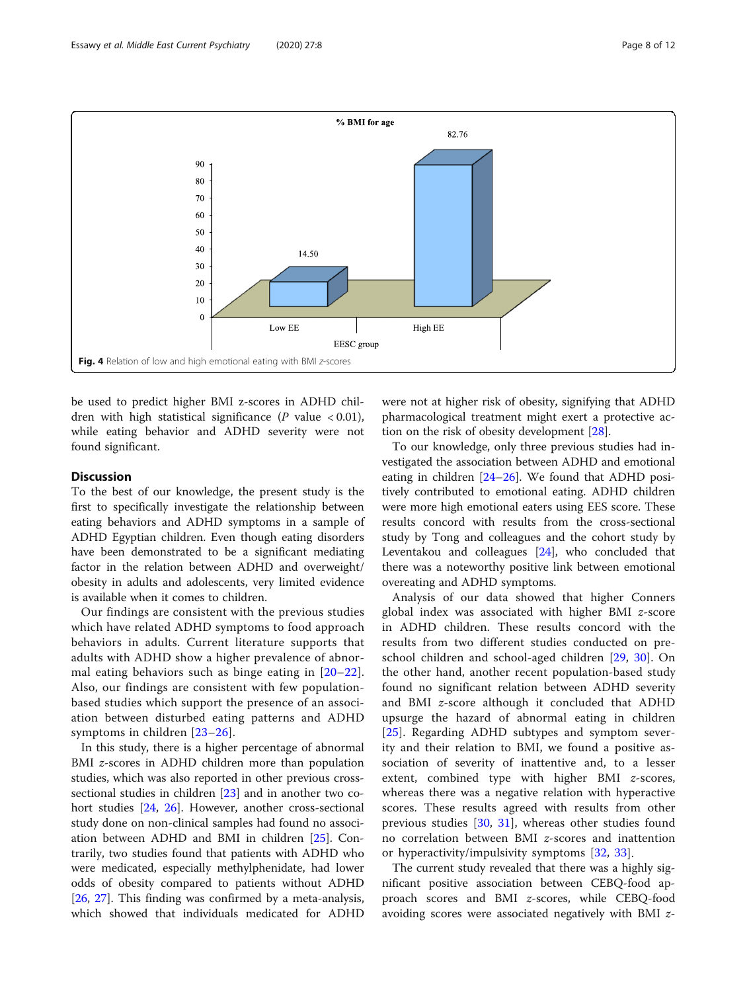<span id="page-7-0"></span>

be used to predict higher BMI z-scores in ADHD children with high statistical significance ( $P$  value < 0.01), while eating behavior and ADHD severity were not found significant.

## **Discussion**

To the best of our knowledge, the present study is the first to specifically investigate the relationship between eating behaviors and ADHD symptoms in a sample of ADHD Egyptian children. Even though eating disorders have been demonstrated to be a significant mediating factor in the relation between ADHD and overweight/ obesity in adults and adolescents, very limited evidence is available when it comes to children.

Our findings are consistent with the previous studies which have related ADHD symptoms to food approach behaviors in adults. Current literature supports that adults with ADHD show a higher prevalence of abnormal eating behaviors such as binge eating in [[20](#page-11-0)–[22](#page-11-0)]. Also, our findings are consistent with few populationbased studies which support the presence of an association between disturbed eating patterns and ADHD symptoms in children [[23](#page-11-0)–[26](#page-11-0)].

In this study, there is a higher percentage of abnormal BMI *z*-scores in ADHD children more than population studies, which was also reported in other previous crosssectional studies in children [\[23](#page-11-0)] and in another two co-hort studies [[24](#page-11-0), [26](#page-11-0)]. However, another cross-sectional study done on non-clinical samples had found no association between ADHD and BMI in children [\[25\]](#page-11-0). Contrarily, two studies found that patients with ADHD who were medicated, especially methylphenidate, had lower odds of obesity compared to patients without ADHD [[26,](#page-11-0) [27](#page-11-0)]. This finding was confirmed by a meta-analysis, which showed that individuals medicated for ADHD were not at higher risk of obesity, signifying that ADHD pharmacological treatment might exert a protective action on the risk of obesity development [\[28\]](#page-11-0).

To our knowledge, only three previous studies had investigated the association between ADHD and emotional eating in children [\[24](#page-11-0)–[26\]](#page-11-0). We found that ADHD positively contributed to emotional eating. ADHD children were more high emotional eaters using EES score. These results concord with results from the cross-sectional study by Tong and colleagues and the cohort study by Leventakou and colleagues [[24\]](#page-11-0), who concluded that there was a noteworthy positive link between emotional overeating and ADHD symptoms.

Analysis of our data showed that higher Conners global index was associated with higher BMI z-score in ADHD children. These results concord with the results from two different studies conducted on preschool children and school-aged children [\[29](#page-11-0), [30\]](#page-11-0). On the other hand, another recent population-based study found no significant relation between ADHD severity and BMI z-score although it concluded that ADHD upsurge the hazard of abnormal eating in children [[25\]](#page-11-0). Regarding ADHD subtypes and symptom severity and their relation to BMI, we found a positive association of severity of inattentive and, to a lesser extent, combined type with higher BMI z-scores, whereas there was a negative relation with hyperactive scores. These results agreed with results from other previous studies [[30,](#page-11-0) [31](#page-11-0)], whereas other studies found no correlation between BMI z-scores and inattention or hyperactivity/impulsivity symptoms [[32](#page-11-0), [33](#page-11-0)].

The current study revealed that there was a highly significant positive association between CEBQ-food approach scores and BMI z-scores, while CEBQ-food avoiding scores were associated negatively with BMI z-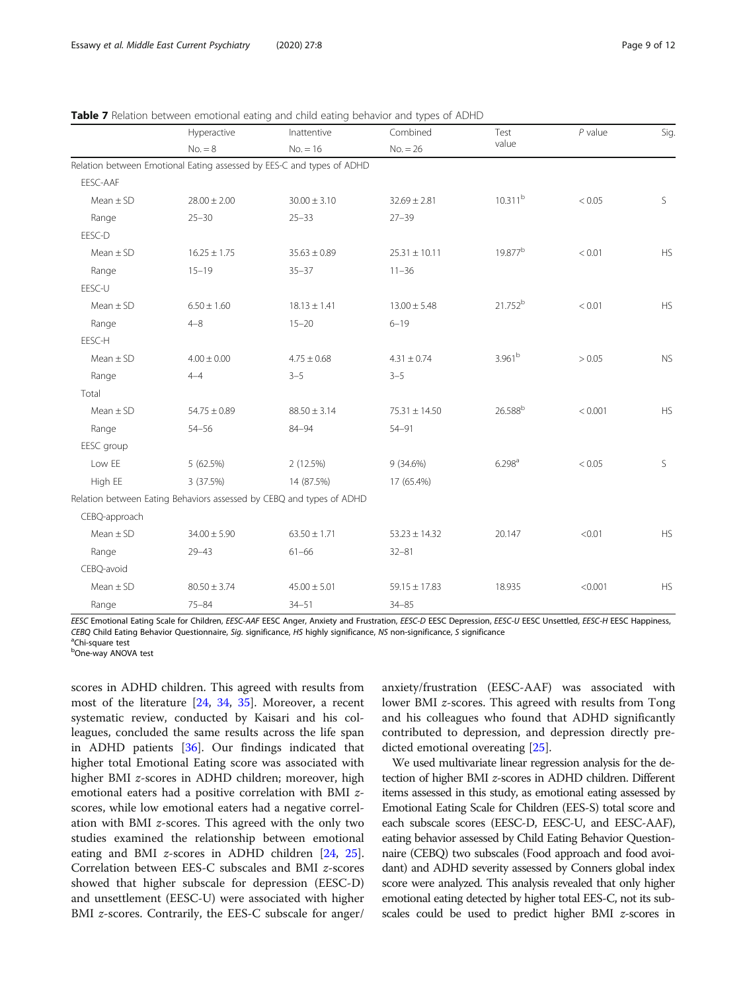<span id="page-8-0"></span>

|  |  |  |  |  |  |  |  |  |  | Table 7 Relation between emotional eating and child eating behavior and types of ADHD |  |
|--|--|--|--|--|--|--|--|--|--|---------------------------------------------------------------------------------------|--|
|--|--|--|--|--|--|--|--|--|--|---------------------------------------------------------------------------------------|--|

|               | Hyperactive      | Inattentive                                                           | 2 L<br>Combined   | Test                | $P$ value | Sig.      |
|---------------|------------------|-----------------------------------------------------------------------|-------------------|---------------------|-----------|-----------|
|               | $No. = 8$        | $No. = 16$                                                            | $No. = 26$        | value               |           |           |
|               |                  | Relation between Emotional Eating assessed by EES-C and types of ADHD |                   |                     |           |           |
| EESC-AAF      |                  |                                                                       |                   |                     |           |           |
| Mean $\pm$ SD | $28.00 \pm 2.00$ | $30.00 \pm 3.10$                                                      | $32.69 \pm 2.81$  | 10.311 <sup>b</sup> | < 0.05    | S         |
| Range         | $25 - 30$        | $25 - 33$                                                             | $27 - 39$         |                     |           |           |
| EESC-D        |                  |                                                                       |                   |                     |           |           |
| $Mean \pm SD$ | $16.25 \pm 1.75$ | $35.63 \pm 0.89$                                                      | $25.31 \pm 10.11$ | 19.877 <sup>b</sup> | < 0.01    | <b>HS</b> |
| Range         | $15 - 19$        | $35 - 37$                                                             | $11 - 36$         |                     |           |           |
| EESC-U        |                  |                                                                       |                   |                     |           |           |
| Mean $\pm$ SD | $6.50 \pm 1.60$  | $18.13 \pm 1.41$                                                      | $13.00 \pm 5.48$  | 21.752 <sup>b</sup> | < 0.01    | <b>HS</b> |
| Range         | $4 - 8$          | $15 - 20$                                                             | $6 - 19$          |                     |           |           |
| EESC-H        |                  |                                                                       |                   |                     |           |           |
| $Mean \pm SD$ | $4.00 \pm 0.00$  | $4.75 \pm 0.68$                                                       | $4.31 \pm 0.74$   | 3.961 <sup>b</sup>  | > 0.05    | <b>NS</b> |
| Range         | $4 - 4$          | $3 - 5$                                                               | $3 - 5$           |                     |           |           |
| Total         |                  |                                                                       |                   |                     |           |           |
| $Mean \pm SD$ | $54.75 \pm 0.89$ | $88.50 \pm 3.14$                                                      | 75.31 ± 14.50     | 26.588 <sup>b</sup> | < 0.001   | HS        |
| Range         | $54 - 56$        | 84-94                                                                 | $54 - 91$         |                     |           |           |
| EESC group    |                  |                                                                       |                   |                     |           |           |
| Low EE        | 5 (62.5%)        | 2(12.5%)                                                              | 9(34.6%)          | 6.298 <sup>a</sup>  | < 0.05    | S         |
| High EE       | 3 (37.5%)        | 14 (87.5%)                                                            | 17 (65.4%)        |                     |           |           |
|               |                  | Relation between Eating Behaviors assessed by CEBQ and types of ADHD  |                   |                     |           |           |
| CEBQ-approach |                  |                                                                       |                   |                     |           |           |
| Mean $\pm$ SD | $34.00 \pm 5.90$ | $63.50 \pm 1.71$                                                      | $53.23 \pm 14.32$ | 20.147              | < 0.01    | <b>HS</b> |
| Range         | $29 - 43$        | $61 - 66$                                                             | $32 - 81$         |                     |           |           |
| CEBQ-avoid    |                  |                                                                       |                   |                     |           |           |
| $Mean \pm SD$ | $80.50 \pm 3.74$ | $45.00 \pm 5.01$                                                      | $59.15 \pm 17.83$ | 18.935              | < 0.001   | <b>HS</b> |
| Range         | $75 - 84$        | $34 - 51$                                                             | $34 - 85$         |                     |           |           |

EESC Emotional Eating Scale for Children, EESC-AAF EESC Anger, Anxiety and Frustration, EESC-D EESC Depression, EESC-U EESC Unsettled, EESC-H EESC Happiness, CEBQ Child Eating Behavior Questionnaire, Sig. significance, HS highly significance, NS non-significance, S significance

<sup>a</sup>Chi-square test

<sup>b</sup>One-way ANOVA test

scores in ADHD children. This agreed with results from most of the literature [[24](#page-11-0), [34,](#page-11-0) [35\]](#page-11-0). Moreover, a recent systematic review, conducted by Kaisari and his colleagues, concluded the same results across the life span in ADHD patients [[36](#page-11-0)]. Our findings indicated that higher total Emotional Eating score was associated with higher BMI z-scores in ADHD children; moreover, high emotional eaters had a positive correlation with BMI zscores, while low emotional eaters had a negative correlation with BMI z-scores. This agreed with the only two studies examined the relationship between emotional eating and BMI z-scores in ADHD children [\[24,](#page-11-0) [25](#page-11-0)]. Correlation between EES-C subscales and BMI z-scores showed that higher subscale for depression (EESC-D) and unsettlement (EESC-U) were associated with higher BMI z-scores. Contrarily, the EES-C subscale for anger/

anxiety/frustration (EESC-AAF) was associated with lower BMI z-scores. This agreed with results from Tong and his colleagues who found that ADHD significantly contributed to depression, and depression directly predicted emotional overeating [[25\]](#page-11-0).

We used multivariate linear regression analysis for the detection of higher BMI z-scores in ADHD children. Different items assessed in this study, as emotional eating assessed by Emotional Eating Scale for Children (EES-S) total score and each subscale scores (EESC-D, EESC-U, and EESC-AAF), eating behavior assessed by Child Eating Behavior Questionnaire (CEBQ) two subscales (Food approach and food avoidant) and ADHD severity assessed by Conners global index score were analyzed. This analysis revealed that only higher emotional eating detected by higher total EES-C, not its subscales could be used to predict higher BMI z-scores in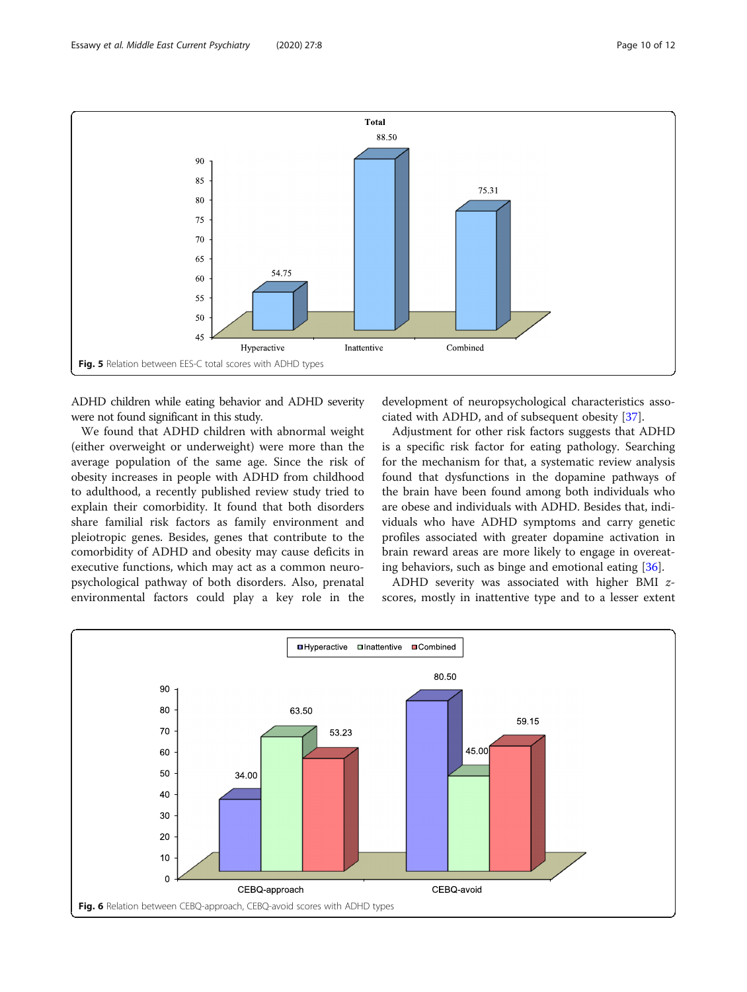<span id="page-9-0"></span>

ADHD children while eating behavior and ADHD severity were not found significant in this study.

We found that ADHD children with abnormal weight (either overweight or underweight) were more than the average population of the same age. Since the risk of obesity increases in people with ADHD from childhood to adulthood, a recently published review study tried to explain their comorbidity. It found that both disorders share familial risk factors as family environment and pleiotropic genes. Besides, genes that contribute to the comorbidity of ADHD and obesity may cause deficits in executive functions, which may act as a common neuropsychological pathway of both disorders. Also, prenatal environmental factors could play a key role in the

development of neuropsychological characteristics associated with ADHD, and of subsequent obesity [[37\]](#page-11-0).

Adjustment for other risk factors suggests that ADHD is a specific risk factor for eating pathology. Searching for the mechanism for that, a systematic review analysis found that dysfunctions in the dopamine pathways of the brain have been found among both individuals who are obese and individuals with ADHD. Besides that, individuals who have ADHD symptoms and carry genetic profiles associated with greater dopamine activation in brain reward areas are more likely to engage in overeating behaviors, such as binge and emotional eating [[36\]](#page-11-0).

ADHD severity was associated with higher BMI zscores, mostly in inattentive type and to a lesser extent

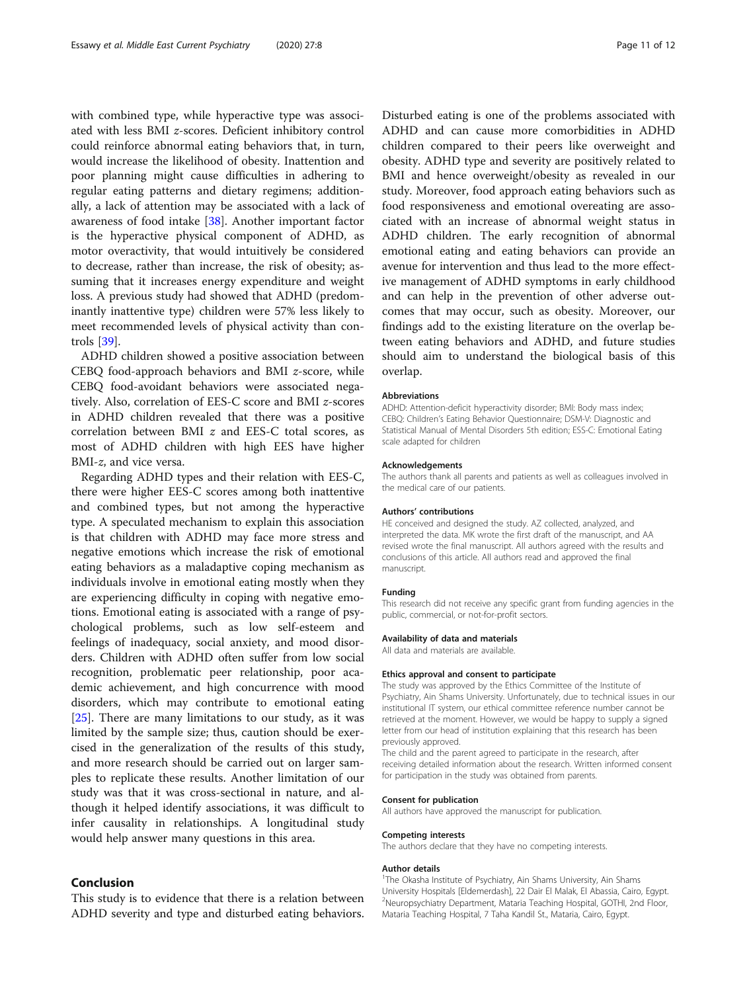with combined type, while hyperactive type was associated with less BMI z-scores. Deficient inhibitory control could reinforce abnormal eating behaviors that, in turn, would increase the likelihood of obesity. Inattention and poor planning might cause difficulties in adhering to regular eating patterns and dietary regimens; additionally, a lack of attention may be associated with a lack of awareness of food intake [\[38](#page-11-0)]. Another important factor is the hyperactive physical component of ADHD, as motor overactivity, that would intuitively be considered to decrease, rather than increase, the risk of obesity; assuming that it increases energy expenditure and weight loss. A previous study had showed that ADHD (predominantly inattentive type) children were 57% less likely to meet recommended levels of physical activity than controls [\[39\]](#page-11-0).

ADHD children showed a positive association between CEBQ food-approach behaviors and BMI z-score, while CEBQ food-avoidant behaviors were associated negatively. Also, correlation of EES-C score and BMI z-scores in ADHD children revealed that there was a positive correlation between BMI z and EES-C total scores, as most of ADHD children with high EES have higher BMI-z, and vice versa.

Regarding ADHD types and their relation with EES-C, there were higher EES-C scores among both inattentive and combined types, but not among the hyperactive type. A speculated mechanism to explain this association is that children with ADHD may face more stress and negative emotions which increase the risk of emotional eating behaviors as a maladaptive coping mechanism as individuals involve in emotional eating mostly when they are experiencing difficulty in coping with negative emotions. Emotional eating is associated with a range of psychological problems, such as low self-esteem and feelings of inadequacy, social anxiety, and mood disorders. Children with ADHD often suffer from low social recognition, problematic peer relationship, poor academic achievement, and high concurrence with mood disorders, which may contribute to emotional eating [[25\]](#page-11-0). There are many limitations to our study, as it was limited by the sample size; thus, caution should be exercised in the generalization of the results of this study, and more research should be carried out on larger samples to replicate these results. Another limitation of our study was that it was cross-sectional in nature, and although it helped identify associations, it was difficult to infer causality in relationships. A longitudinal study would help answer many questions in this area.

## Conclusion

This study is to evidence that there is a relation between ADHD severity and type and disturbed eating behaviors.

Disturbed eating is one of the problems associated with ADHD and can cause more comorbidities in ADHD children compared to their peers like overweight and obesity. ADHD type and severity are positively related to BMI and hence overweight/obesity as revealed in our study. Moreover, food approach eating behaviors such as food responsiveness and emotional overeating are associated with an increase of abnormal weight status in ADHD children. The early recognition of abnormal emotional eating and eating behaviors can provide an avenue for intervention and thus lead to the more effective management of ADHD symptoms in early childhood and can help in the prevention of other adverse outcomes that may occur, such as obesity. Moreover, our findings add to the existing literature on the overlap between eating behaviors and ADHD, and future studies should aim to understand the biological basis of this overlap.

#### Abbreviations

ADHD: Attention-deficit hyperactivity disorder; BMI: Body mass index; CEBQ: Children's Eating Behavior Questionnaire; DSM-V: Diagnostic and Statistical Manual of Mental Disorders 5th edition; ESS-C: Emotional Eating scale adapted for children

#### Acknowledgements

The authors thank all parents and patients as well as colleagues involved in the medical care of our patients.

#### Authors' contributions

HE conceived and designed the study. AZ collected, analyzed, and interpreted the data. MK wrote the first draft of the manuscript, and AA revised wrote the final manuscript. All authors agreed with the results and conclusions of this article. All authors read and approved the final manuscript.

#### Funding

This research did not receive any specific grant from funding agencies in the public, commercial, or not-for-profit sectors.

#### Availability of data and materials

All data and materials are available.

#### Ethics approval and consent to participate

The study was approved by the Ethics Committee of the Institute of Psychiatry, Ain Shams University. Unfortunately, due to technical issues in our institutional IT system, our ethical committee reference number cannot be retrieved at the moment. However, we would be happy to supply a signed letter from our head of institution explaining that this research has been previously approved.

The child and the parent agreed to participate in the research, after receiving detailed information about the research. Written informed consent for participation in the study was obtained from parents.

#### Consent for publication

All authors have approved the manuscript for publication.

#### Competing interests

The authors declare that they have no competing interests.

#### Author details

<sup>1</sup>The Okasha Institute of Psychiatry, Ain Shams University, Ain Shams University Hospitals [Eldemerdash], 22 Dair El Malak, El Abassia, Cairo, Egypt. 2 Neuropsychiatry Department, Mataria Teaching Hospital, GOTHI, 2nd Floor, Mataria Teaching Hospital, 7 Taha Kandil St., Mataria, Cairo, Egypt.